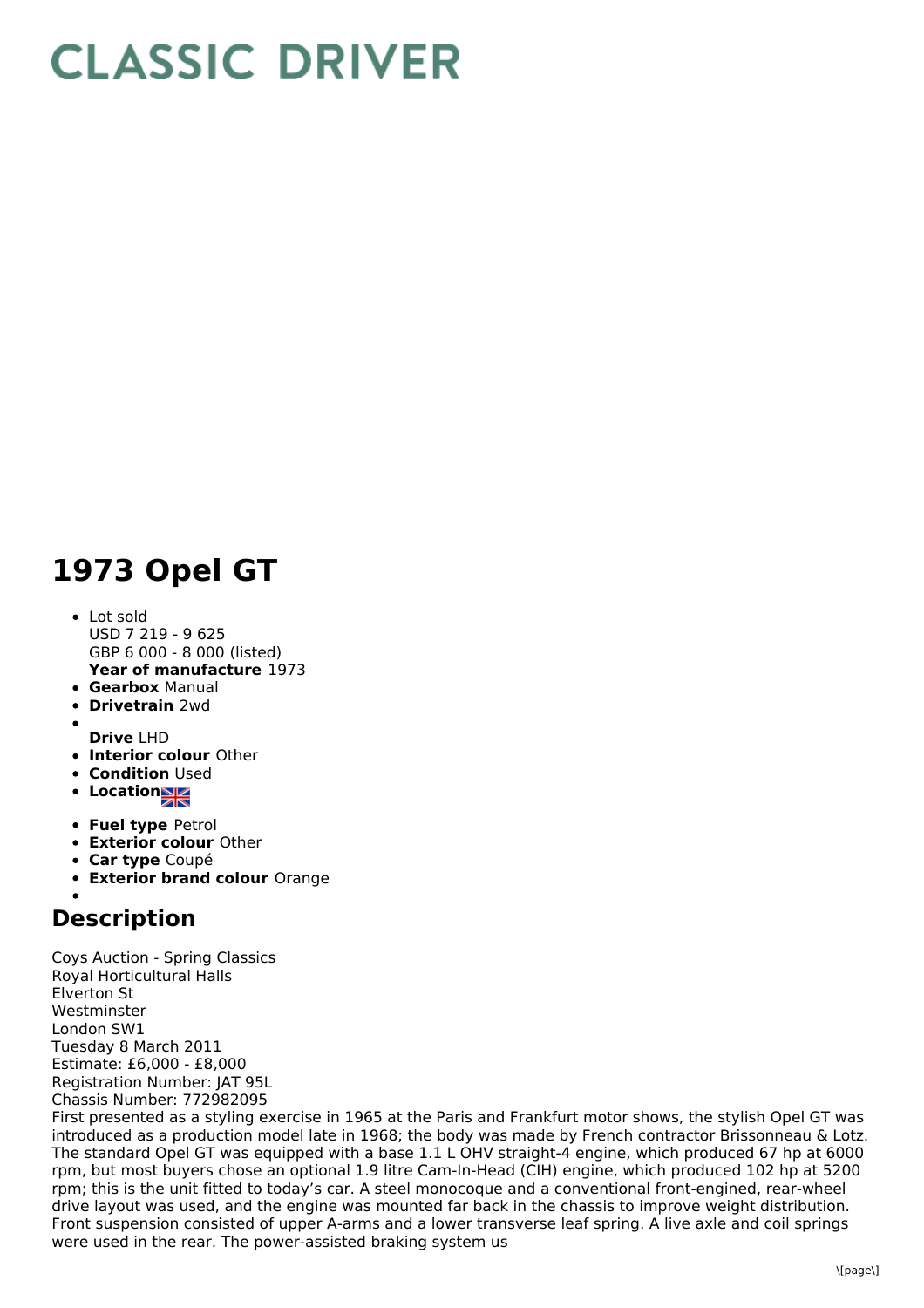## **CLASSIC DRIVER**

## **1973 Opel GT**

- **Year of manufacture** 1973 • Lot sold USD 7 219 - 9 625 GBP 6 000 - 8 000 (listed)
- **Gearbox** Manual
- **Drivetrain** 2wd
- 
- **Drive** LHD
- **Interior colour** Other
- **Condition Used**
- **Location**
- **Fuel type** Petrol
- **Exterior colour** Other
- **Car type** Coupé
- **Exterior brand colour** Orange

## **Description**

Coys Auction - Spring Classics Royal Horticultural Halls Elverton St Westminster London SW1 Tuesday 8 March 2011 Estimate: £6,000 - £8,000 Registration Number: JAT 95L Chassis Number: 772982095

First presented as a styling exercise in 1965 at the Paris and Frankfurt motor shows, the stylish Opel GT was introduced as a production model late in 1968; the body was made by French contractor Brissonneau & Lotz. The standard Opel GT was equipped with a base 1.1 L OHV straight-4 engine, which produced 67 hp at 6000 rpm, but most buyers chose an optional 1.9 litre Cam-In-Head (CIH) engine, which produced 102 hp at 5200 rpm; this is the unit fitted to today's car. A steel monocoque and a conventional front-engined, rear-wheel drive layout was used, and the engine was mounted far back in the chassis to improve weight distribution. Front suspension consisted of upper A-arms and a lower transverse leaf spring. A live axle and coil springs were used in the rear. The power-assisted braking system us